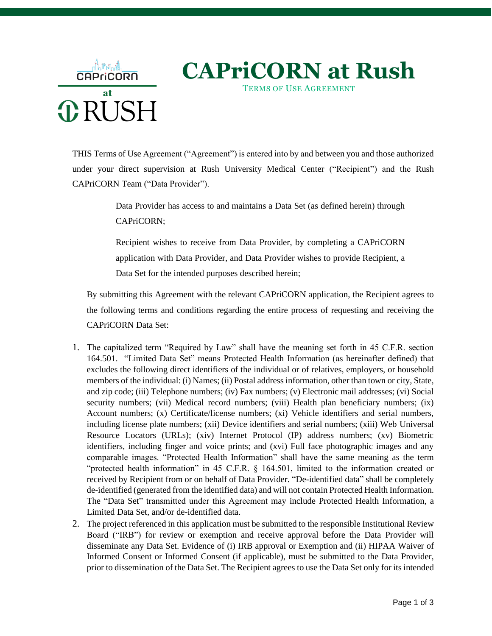

THIS Terms of Use Agreement ("Agreement") is entered into by and between you and those authorized under your direct supervision at Rush University Medical Center ("Recipient") and the Rush CAPriCORN Team ("Data Provider").

> Data Provider has access to and maintains a Data Set (as defined herein) through CAPriCORN;

> Recipient wishes to receive from Data Provider, by completing a CAPriCORN application with Data Provider, and Data Provider wishes to provide Recipient, a Data Set for the intended purposes described herein;

By submitting this Agreement with the relevant CAPriCORN application, the Recipient agrees to the following terms and conditions regarding the entire process of requesting and receiving the CAPriCORN Data Set:

- 1. The capitalized term "Required by Law" shall have the meaning set forth in 45 C.F.R. section 164.501. "Limited Data Set" means Protected Health Information (as hereinafter defined) that excludes the following direct identifiers of the individual or of relatives, employers, or household members of the individual: (i) Names; (ii) Postal address information, other than town or city, State, and zip code; (iii) Telephone numbers; (iv) Fax numbers; (v) Electronic mail addresses; (vi) Social security numbers; (vii) Medical record numbers; (viii) Health plan beneficiary numbers; (ix) Account numbers; (x) Certificate/license numbers; (xi) Vehicle identifiers and serial numbers, including license plate numbers; (xii) Device identifiers and serial numbers; (xiii) Web Universal Resource Locators (URLs); (xiv) Internet Protocol (IP) address numbers; (xv) Biometric identifiers, including finger and voice prints; and (xvi) Full face photographic images and any comparable images. "Protected Health Information" shall have the same meaning as the term "protected health information" in 45 C.F.R. § 164.501, limited to the information created or received by Recipient from or on behalf of Data Provider. "De-identified data" shall be completely de-identified (generated from the identified data) and will not contain Protected Health Information. The "Data Set" transmitted under this Agreement may include Protected Health Information, a Limited Data Set, and/or de-identified data.
- 2. The project referenced in this application must be submitted to the responsible Institutional Review Board ("IRB") for review or exemption and receive approval before the Data Provider will disseminate any Data Set. Evidence of (i) IRB approval or Exemption and (ii) HIPAA Waiver of Informed Consent or Informed Consent (if applicable), must be submitted to the Data Provider, prior to dissemination of the Data Set. The Recipient agrees to use the Data Set only for its intended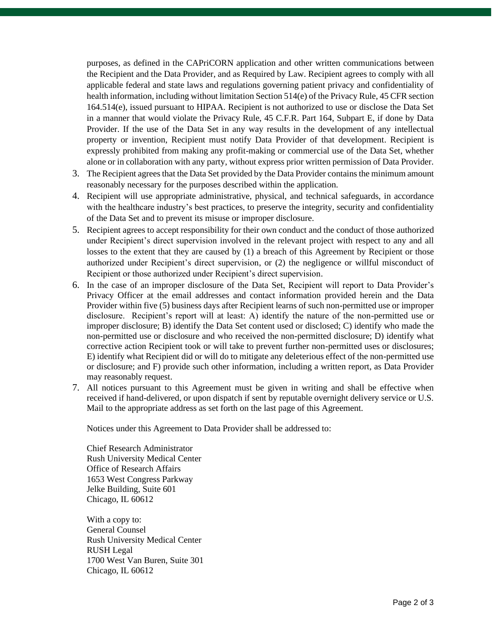purposes, as defined in the CAPriCORN application and other written communications between the Recipient and the Data Provider, and as Required by Law. Recipient agrees to comply with all applicable federal and state laws and regulations governing patient privacy and confidentiality of health information, including without limitation Section 514(e) of the Privacy Rule, 45 CFR section 164.514(e), issued pursuant to HIPAA. Recipient is not authorized to use or disclose the Data Set in a manner that would violate the Privacy Rule, 45 C.F.R. Part 164, Subpart E, if done by Data Provider. If the use of the Data Set in any way results in the development of any intellectual property or invention, Recipient must notify Data Provider of that development. Recipient is expressly prohibited from making any profit-making or commercial use of the Data Set, whether alone or in collaboration with any party, without express prior written permission of Data Provider.

- 3. The Recipient agrees that the Data Set provided by the Data Provider contains the minimum amount reasonably necessary for the purposes described within the application.
- 4. Recipient will use appropriate administrative, physical, and technical safeguards, in accordance with the healthcare industry's best practices, to preserve the integrity, security and confidentiality of the Data Set and to prevent its misuse or improper disclosure.
- 5. Recipient agrees to accept responsibility for their own conduct and the conduct of those authorized under Recipient's direct supervision involved in the relevant project with respect to any and all losses to the extent that they are caused by (1) a breach of this Agreement by Recipient or those authorized under Recipient's direct supervision, or (2) the negligence or willful misconduct of Recipient or those authorized under Recipient's direct supervision.
- 6. In the case of an improper disclosure of the Data Set, Recipient will report to Data Provider's Privacy Officer at the email addresses and contact information provided herein and the Data Provider within five (5) business days after Recipient learns of such non-permitted use or improper disclosure. Recipient's report will at least: A) identify the nature of the non-permitted use or improper disclosure; B) identify the Data Set content used or disclosed; C) identify who made the non-permitted use or disclosure and who received the non-permitted disclosure; D) identify what corrective action Recipient took or will take to prevent further non-permitted uses or disclosures; E) identify what Recipient did or will do to mitigate any deleterious effect of the non-permitted use or disclosure; and F) provide such other information, including a written report, as Data Provider may reasonably request.
- 7. All notices pursuant to this Agreement must be given in writing and shall be effective when received if hand-delivered, or upon dispatch if sent by reputable overnight delivery service or U.S. Mail to the appropriate address as set forth on the last page of this Agreement.

Notices under this Agreement to Data Provider shall be addressed to:

Chief Research Administrator Rush University Medical Center Office of Research Affairs 1653 West Congress Parkway Jelke Building, Suite 601 Chicago, IL 60612

With a copy to: General Counsel Rush University Medical Center RUSH Legal 1700 West Van Buren, Suite 301 Chicago, IL 60612